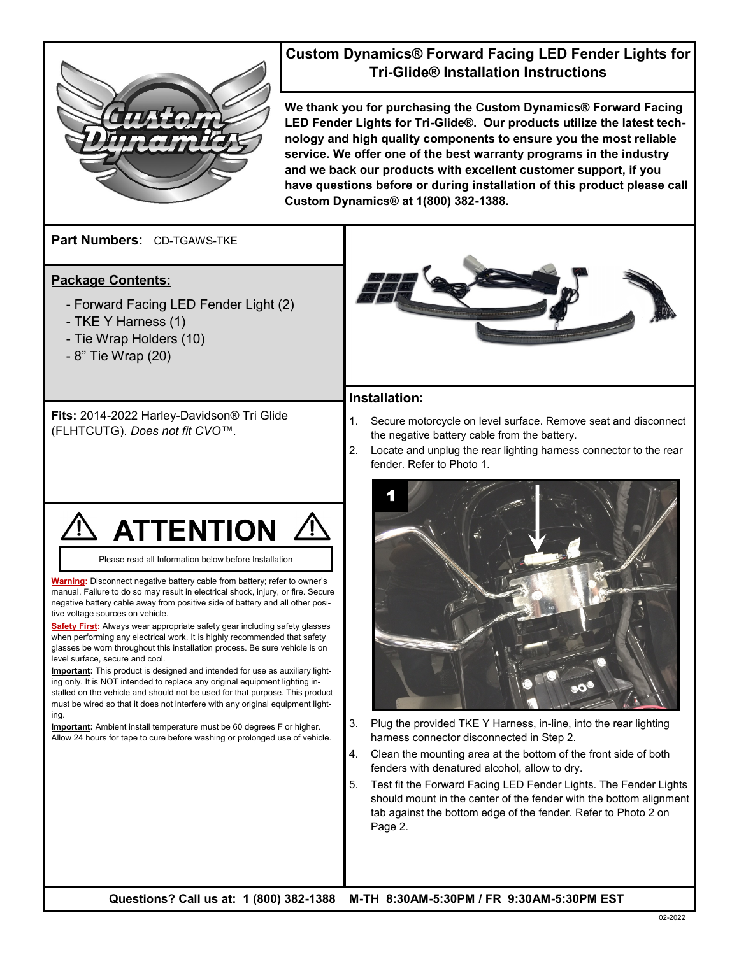

# **Custom Dynamics® Forward Facing LED Fender Lights for Tri-Glide® Installation Instructions**

**We thank you for purchasing the Custom Dynamics® Forward Facing LED Fender Lights for Tri-Glide®. Our products utilize the latest technology and high quality components to ensure you the most reliable service. We offer one of the best warranty programs in the industry and we back our products with excellent customer support, if you have questions before or during installation of this product please call Custom Dynamics® at 1(800) 382-1388.**

**Part Numbers:**  CD-TGAWS-TKE

## **Package Contents:**

- Forward Facing LED Fender Light (2)
- TKE Y Harness (1)
- Tie Wrap Holders (10)
- 8" Tie Wrap (20)

**Fits:** 2014-2022 Harley-Davidson® Tri Glide (FLHTCUTG). *Does not fit CVO™.*



Please read all Information below before Installation

**Warning:** Disconnect negative battery cable from battery; refer to owner's manual. Failure to do so may result in electrical shock, injury, or fire. Secure negative battery cable away from positive side of battery and all other positive voltage sources on vehicle.

**Safety First:** Always wear appropriate safety gear including safety glasses when performing any electrical work. It is highly recommended that safety glasses be worn throughout this installation process. Be sure vehicle is on level surface, secure and cool.

**Important:** This product is designed and intended for use as auxiliary lighting only. It is NOT intended to replace any original equipment lighting installed on the vehicle and should not be used for that purpose. This product must be wired so that it does not interfere with any original equipment lighting.

**Important:** Ambient install temperature must be 60 degrees F or higher. Allow 24 hours for tape to cure before washing or prolonged use of vehicle.



#### **Installation:**

1. Secure motorcycle on level surface. Remove seat and disconnect the negative battery cable from the battery.

2. Locate and unplug the rear lighting harness connector to the rear fender. Refer to Photo 1.



- 3. Plug the provided TKE Y Harness, in-line, into the rear lighting harness connector disconnected in Step 2.
- 4. Clean the mounting area at the bottom of the front side of both fenders with denatured alcohol, allow to dry.
- 5. Test fit the Forward Facing LED Fender Lights. The Fender Lights should mount in the center of the fender with the bottom alignment tab against the bottom edge of the fender. Refer to Photo 2 on Page 2.

**Questions? Call us at: 1 (800) 382-1388 M-TH 8:30AM-5:30PM / FR 9:30AM-5:30PM EST**